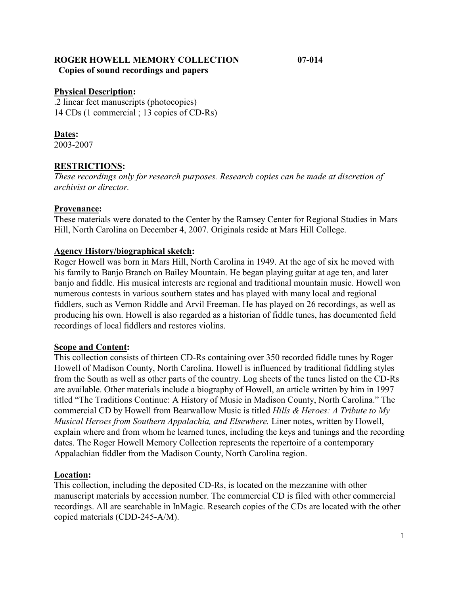# **ROGER HOWELL MEMORY COLLECTION 07-014 Copies of sound recordings and papers**

#### **Physical Description:**

.2 linear feet manuscripts (photocopies) 14 CDs (1 commercial ; 13 copies of CD-Rs)

## **Dates:**

2003-2007

## **RESTRICTIONS:**

*These recordings only for research purposes. Research copies can be made at discretion of archivist or director.* 

#### **Provenance:**

These materials were donated to the Center by the Ramsey Center for Regional Studies in Mars Hill, North Carolina on December 4, 2007. Originals reside at Mars Hill College.

### **Agency History/biographical sketch:**

Roger Howell was born in Mars Hill, North Carolina in 1949. At the age of six he moved with his family to Banjo Branch on Bailey Mountain. He began playing guitar at age ten, and later banjo and fiddle. His musical interests are regional and traditional mountain music. Howell won numerous contests in various southern states and has played with many local and regional fiddlers, such as Vernon Riddle and Arvil Freeman. He has played on 26 recordings, as well as producing his own. Howell is also regarded as a historian of fiddle tunes, has documented field recordings of local fiddlers and restores violins.

### **Scope and Content:**

This collection consists of thirteen CD-Rs containing over 350 recorded fiddle tunes by Roger Howell of Madison County, North Carolina. Howell is influenced by traditional fiddling styles from the South as well as other parts of the country. Log sheets of the tunes listed on the CD-Rs are available. Other materials include a biography of Howell, an article written by him in 1997 titled "The Traditions Continue: A History of Music in Madison County, North Carolina." The commercial CD by Howell from Bearwallow Music is titled *Hills & Heroes: A Tribute to My Musical Heroes from Southern Appalachia, and Elsewhere.* Liner notes, written by Howell, explain where and from whom he learned tunes, including the keys and tunings and the recording dates. The Roger Howell Memory Collection represents the repertoire of a contemporary Appalachian fiddler from the Madison County, North Carolina region.

### **Location:**

This collection, including the deposited CD-Rs, is located on the mezzanine with other manuscript materials by accession number. The commercial CD is filed with other commercial recordings. All are searchable in InMagic. Research copies of the CDs are located with the other copied materials (CDD-245-A/M).